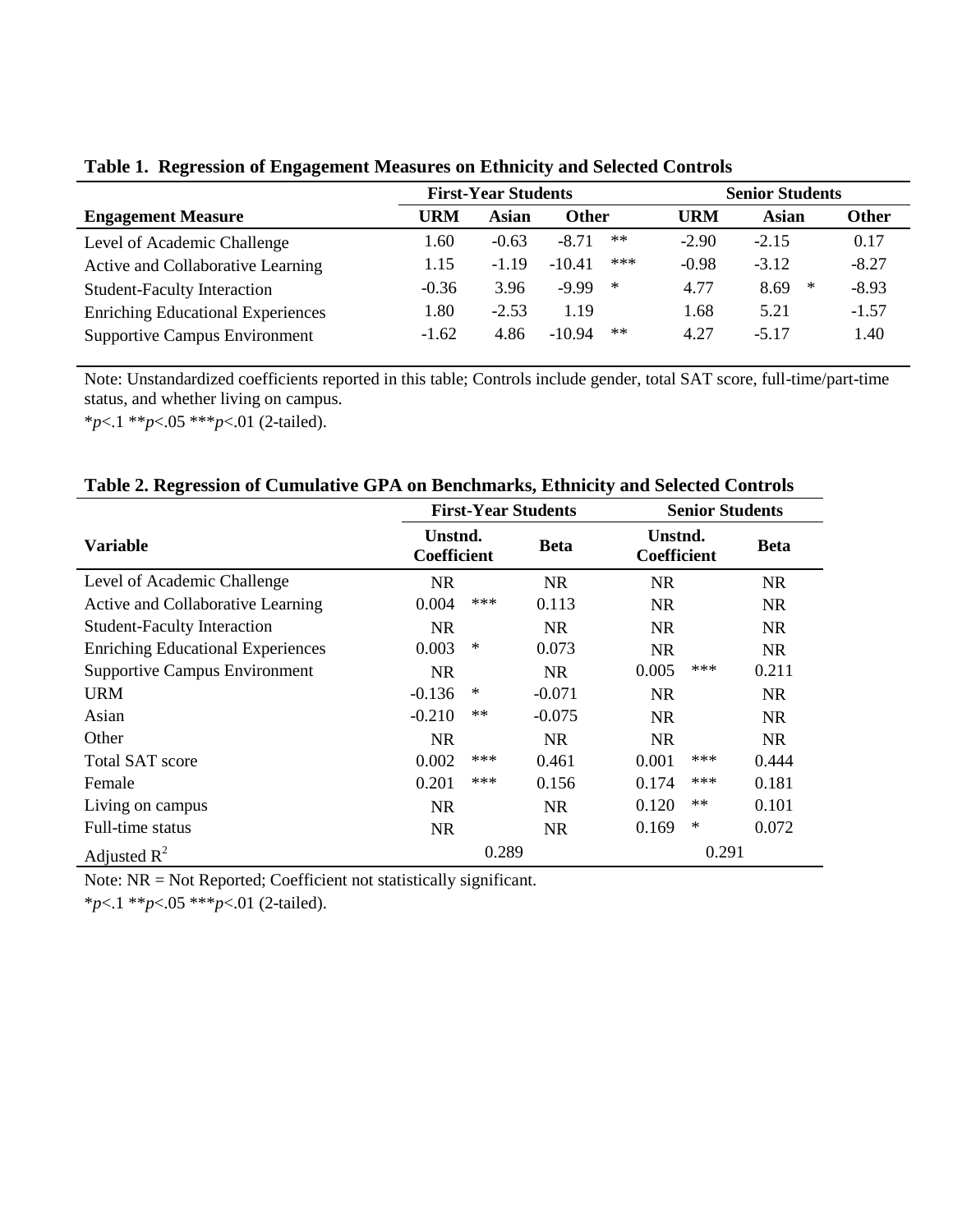|                                          | <b>First-Year Students</b> |         |              |        | <b>Senior Students</b> |           |              |
|------------------------------------------|----------------------------|---------|--------------|--------|------------------------|-----------|--------------|
| <b>Engagement Measure</b>                | URM                        | Asian   | <b>Other</b> |        | URM                    | Asian     | <b>Other</b> |
| Level of Academic Challenge              | .60                        | $-0.63$ | $-8.71$      | $**$   | $-2.90$                | $-2.15$   | 0.17         |
| Active and Collaborative Learning        | 1.15                       | $-1.19$ | $-10.41$     | ***    | $-0.98$                | $-3.12$   | $-8.27$      |
| <b>Student-Faculty Interaction</b>       | $-0.36$                    | 3.96    | $-9.99$      | $\ast$ | 4.77                   | ∗<br>8.69 | $-8.93$      |
| <b>Enriching Educational Experiences</b> | 1.80                       | $-2.53$ | 1.19         |        | 1.68                   | 5.21      | $-1.57$      |
| <b>Supportive Campus Environment</b>     | $-1.62$                    | 4.86    | $-10.94$     | $**$   | 4.27                   | $-5.17$   | 1.40         |

**Table 1. Regression of Engagement Measures on Ethnicity and Selected Controls**

Note: Unstandardized coefficients reported in this table; Controls include gender, total SAT score, full-time/part-time status, and whether living on campus.

\**p*<.1 \*\**p*<.05 \*\*\**p*<.01 (2-tailed).

|                                          |                               | <b>First-Year Students</b> |             |                               | <b>Senior Students</b> |             |  |  |
|------------------------------------------|-------------------------------|----------------------------|-------------|-------------------------------|------------------------|-------------|--|--|
| <b>Variable</b>                          | Unstnd.<br><b>Coefficient</b> |                            | <b>Beta</b> | Unstnd.<br><b>Coefficient</b> |                        | <b>Beta</b> |  |  |
| Level of Academic Challenge              | <b>NR</b>                     |                            | NR.         | <b>NR</b>                     |                        | <b>NR</b>   |  |  |
| Active and Collaborative Learning        | 0.004                         | ***                        | 0.113       | <b>NR</b>                     |                        | <b>NR</b>   |  |  |
| <b>Student-Faculty Interaction</b>       | NR.                           |                            | NR.         | <b>NR</b>                     |                        | NR.         |  |  |
| <b>Enriching Educational Experiences</b> | 0.003                         | ∗                          | 0.073       | <b>NR</b>                     |                        | NR.         |  |  |
| <b>Supportive Campus Environment</b>     | <b>NR</b>                     |                            | NR.         | 0.005                         | ***                    | 0.211       |  |  |
| URM                                      | $-0.136$                      | ∗                          | $-0.071$    | <b>NR</b>                     |                        | <b>NR</b>   |  |  |
| Asian                                    | $-0.210$                      | $**$                       | $-0.075$    | <b>NR</b>                     |                        | NR.         |  |  |
| Other                                    | <b>NR</b>                     |                            | <b>NR</b>   | <b>NR</b>                     |                        | <b>NR</b>   |  |  |
| <b>Total SAT score</b>                   | 0.002                         | ***                        | 0.461       | 0.001                         | ***                    | 0.444       |  |  |
| Female                                   | 0.201                         | ***                        | 0.156       | 0.174                         | ***                    | 0.181       |  |  |
| Living on campus                         | <b>NR</b>                     |                            | NR.         | 0.120                         | $**$                   | 0.101       |  |  |
| Full-time status                         | <b>NR</b>                     |                            | <b>NR</b>   | 0.169                         | $\ast$                 | 0.072       |  |  |
| Adjusted $R^2$                           |                               | 0.289                      |             |                               | 0.291                  |             |  |  |

**Table 2. Regression of Cumulative GPA on Benchmarks, Ethnicity and Selected Controls**

Note: NR = Not Reported; Coefficient not statistically significant.

\**p*<.1 \*\**p*<.05 \*\*\**p*<.01 (2-tailed).